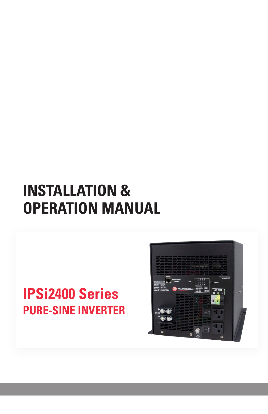# **INSTALLATION & OPERATION MANUAL**

# **IPSi2400 Series PURE-SINE INVERTER**

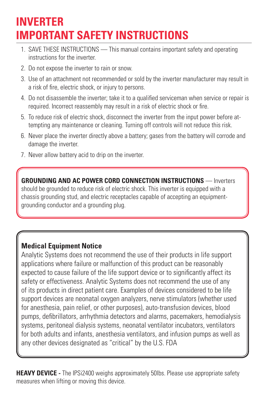### **INVERTER IMPORTANT SAFETY INSTRUCTIONS**

- 1. SAVE THESE INSTRUCTIONS This manual contains important safety and operating instructions for the inverter.
- 2. Do not expose the inverter to rain or snow.
- 3. Use of an attachment not recommended or sold by the inverter manufacturer may result in a risk of fire, electric shock, or injury to persons.
- 4. Do not disassemble the inverter; take it to a qualified serviceman when service or repair is required. Incorrect reassembly may result in a risk of electric shock or fire.
- 5. To reduce risk of electric shock, disconnect the inverter from the input power before attempting any maintenance or cleaning. Turning off controls will not reduce this risk.
- 6. Never place the inverter directly above a battery; gases from the battery will corrode and damage the inverter.
- 7. Never allow battery acid to drip on the inverter.

**GROUNDING AND AC POWER CORD CONNECTION INSTRUCTIONS** — Inverters should be grounded to reduce risk of electric shock. This inverter is equipped with a chassis grounding stud, and electric receptacles capable of accepting an equipmentgrounding conductor and a grounding plug.

#### **Medical Equipment Notice**

Analytic Systems does not recommend the use of their products in life support applications where failure or malfunction of this product can be reasonably expected to cause failure of the life support device or to significantly affect its safety or effectiveness. Analytic Systems does not recommend the use of any of its products in direct patient care. Examples of devices considered to be life support devices are neonatal oxygen analyzers, nerve stimulators (whether used for anesthesia, pain relief, or other purposes), auto-transfusion devices, blood pumps, defibrillators, arrhythmia detectors and alarms, pacemakers, hemodialysis systems, peritoneal dialysis systems, neonatal ventilator incubators, ventilators for both adults and infants, anesthesia ventilators, and infusion pumps as well as any other devices designated as "critical" by the U.S. FDA

**HEAVY DEVICE -** The IPSi2400 weighs approximately 50lbs. Please use appropriate safety measures when lifting or moving this device.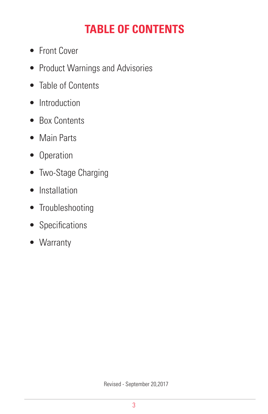# **TABLE OF CONTENTS**

- Front Cover
- Product Warnings and Advisories
- Table of Contents
- Introduction
- Box Contents
- Main Parts
- Operation
- Two-Stage Charging
- Installation
- Troubleshooting
- Specifications
- Warranty

Revised - September 20,2017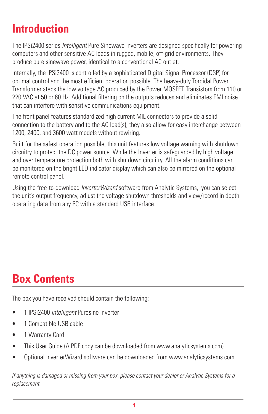### **Introduction**

The IPSi2400 series *Intelligent* Pure Sinewave Inverters are designed specifically for powering computers and other sensitive AC loads in rugged, mobile, off-grid environments. They produce pure sinewave power, identical to a conventional AC outlet.

Internally, the IPSi2400 is controlled by a sophisticated Digital Signal Processor (DSP) for optimal control and the most efficient operation possible. The heavy-duty Toroidal Power Transformer steps the low voltage AC produced by the Power MOSFET Transistors from 110 or 220 VAC at 50 or 60 Hz. Additional filtering on the outputs reduces and eliminates EMI noise that can interfere with sensitive communications equipment.

The front panel features standardized high current MIL connectors to provide a solid connection to the battery and to the AC load(s), they also allow for easy interchange between 1200, 2400, and 3600 watt models without rewiring.

Built for the safest operation possible, this unit features low voltage warning with shutdown circuitry to protect the DC power source. While the Inverter is safeguarded by high voltage and over temperature protection both with shutdown circuitry. All the alarm conditions can be monitored on the bright LED indicator display which can also be mirrored on the optional remote control panel.

Using the free-to-download *InverterWizard* software from Analytic Systems, you can select the unit's output frequency, adjust the voltage shutdown thresholds and view/record in depth operating data from any PC with a standard USB interface.

## **Box Contents**

The box you have received should contain the following:

- 1 IPSi2400 *Intelligent* Puresine Inverter
- 1 Compatible USB cable
- 1 Warranty Card
- This User Guide (A PDF copy can be downloaded from www.analyticsystems.com)
- Optional InverterWizard software can be downloaded from www.analyticsystems.com

*If anything is damaged or missing from your box, please contact your dealer or Analytic Systems for a replacement.*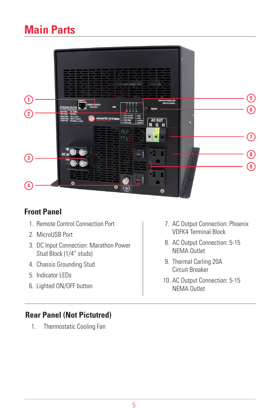### **Main Parts**



#### **Front Panel**

- 1. Remote Control Connection Port
- 2. MicroUSB Port
- 3. DC Input Connection: Marathon Power Stud Block (1/4" studs)
- 4. Chassis Grounding Stud
- 5. Indicator LEDs
- 6. Lighted ON/OFF button
- 7. AC Output Connection: Phoenix VDFK4 Terminal Block
- 8. AC Output Connection: 5-15 NEMA Outlet
- 9. Thermal Carling 20A Circuit Breaker
- 10. AC Output Connection: 5-15 NEMA Outlet

#### **Rear Panel (Not Pictutred)**

1. Thermostatic Cooling Fan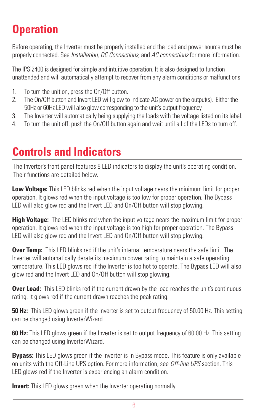### **Operation**

Before operating, the Inverter must be properly installed and the load and power source must be properly connected. See *Installation, DC Connections,* and *AC connections* for more information.

The IPSi2400 is designed for simple and intuitive operation. It is also designed to function unattended and will automatically attempt to recover from any alarm conditions or malfunctions.

- 1. To turn the unit on, press the On/Off button.
- 2. The On/Off button and Invert LED will glow to indicate AC power on the output(s). Either the 50Hz or 60Hz LED will also glow corresponding to the unit's output frequency.
- 3. The Inverter will automatically being supplying the loads with the voltage listed on its label.
- 4. To turn the unit off, push the On/Off button again and wait until all of the LEDs to turn off.

### **Controls and Indicators**

The Inverter's front panel features 8 LED indicators to display the unit's operating condition. Their functions are detailed below.

**Low Voltage:** This LED blinks red when the input voltage nears the minimum limit for proper operation. It glows red when the input voltage is too low for proper operation. The Bypass LED will also glow red and the Invert LED and On/Off button will stop glowing.

**High Voltage:** The LED blinks red when the input voltage nears the maximum limit for proper operation. It glows red when the input voltage is too high for proper operation. The Bypass LED will also glow red and the Invert LED and On/Off button will stop glowing.

**Over Temp:** This LED blinks red if the unit's internal temperature nears the safe limit. The Inverter will automatically derate its maximum power rating to maintain a safe operating temperature. This LED glows red if the Inverter is too hot to operate. The Bypass LED will also glow red and the Invert LED and On/Off button will stop glowing.

**Over Load:** This LED blinks red if the current drawn by the load reaches the unit's continuous rating. It glows red if the current drawn reaches the peak rating.

**50 Hz:** This LED glows green if the Inverter is set to output frequency of 50.00 Hz. This setting can be changed using InverterWizard.

**60 Hz:** This LED glows green if the Inverter is set to output frequency of 60.00 Hz. This setting can be changed using InverterWizard.

**Bypass:** This LED glows green if the Inverter is in Bypass mode. This feature is only available on units with the Off-Line UPS option. For more information, see *Off-line UPS* section. This LED glows red if the Inverter is experiencing an alarm condition.

**Invert:** This LED glows green when the Inverter operating normally.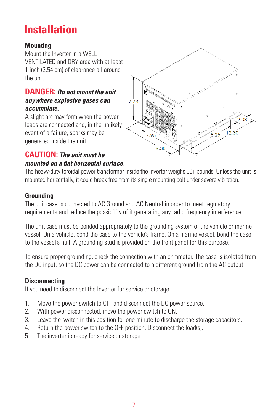### **Installation**

#### **Mounting**

Mount the Inverter in a WELL VENTILATED and DRY area with at least 1 inch (2.54 cm) of clearance all around the unit.

#### **DANGER:** *Do not mount the unit anywhere explosive gases can accumulate.*

A slight arc may form when the power leads are connected and, in the unlikely event of a failure, sparks may be generated inside the unit.

#### **CAUTION:** *The unit must be mounted on a flat horizontal surface*.



The heavy-duty toroidal power transformer inside the inverter weighs 50+ pounds. Unless the unit is mounted horizontally, it could break free from its single mounting bolt under severe vibration.

#### **Grounding**

The unit case is connected to AC Ground and AC Neutral in order to meet regulatory requirements and reduce the possibility of it generating any radio frequency interference.

The unit case must be bonded appropriately to the grounding system of the vehicle or marine vessel. On a vehicle, bond the case to the vehicle's frame. On a marine vessel, bond the case to the vessel's hull. A grounding stud is provided on the front panel for this purpose.

To ensure proper grounding, check the connection with an ohmmeter. The case is isolated from the DC input, so the DC power can be connected to a different ground from the AC output.

#### **Disconnecting**

If you need to disconnect the Inverter for service or storage:

- 1. Move the power switch to OFF and disconnect the DC power source.
- 2. With power disconnected, move the power switch to ON.
- 3. Leave the switch in this position for one minute to discharge the storage capacitors.
- 4. Return the power switch to the OFF position. Disconnect the load(s).
- 5. The inverter is ready for service or storage.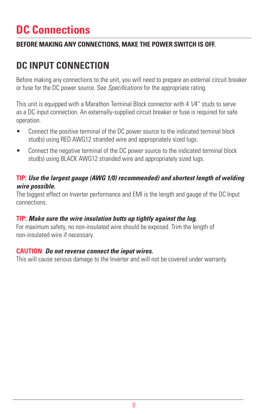### **DC Connections**

#### **BEFORE MAKING ANY CONNECTIONS, MAKE THE POWER SWITCH IS OFF.**

### **DC INPUT CONNECTION**

Before making any connections to the unit, you will need to prepare an external circuit breaker or fuse for the DC power source. See *Specifications* for the appropriate rating.

This unit is equipped with a Marathon Terminal Block connector with 4 1⁄4" studs to serve as a DC input connection. An externally-supplied circuit breaker or fuse is required for safe operation.

- Connect the positive terminal of the DC power source to the indicated terminal block stud(s) using RED AWG12 stranded wire and appropriately sized lugs.
- Connect the negative terminal of the DC power source to the indicated terminal block stud(s) using BLACK AWG12 stranded wire and appropriately sized lugs.

#### **TIP:** *Use the largest gauge (AWG 1/0) recommended) and shortest length of welding wire possible.*

The biggest effect on Inverter performance and EMI is the length and gauge of the DC Input connections.

#### **TIP:** *Make sure the wire insulation butts up tightly against the lug.*

For maximum safety, no non-insulated wire should be exposed. Trim the length of non-insulated wire if necessary.

#### **CAUTION**: *Do not reverse connect the input wires.*

This will cause serious damage to the Inverter and will not be covered under warranty.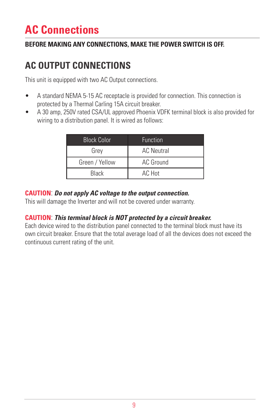### **AC Connections**

#### **BEFORE MAKING ANY CONNECTIONS, MAKE THE POWER SWITCH IS OFF.**

### **AC OUTPUT CONNECTIONS**

This unit is equipped with two AC Output connections.

- A standard NEMA 5-15 AC receptacle is provided for connection. This connection is protected by a Thermal Carling 15A circuit breaker.
- A 30 amp, 250V rated CSA/UL approved Phoenix VDFK terminal block is also provided for wiring to a distribution panel. It is wired as follows:

| <b>Block Color</b> | <b>Function</b>   |
|--------------------|-------------------|
| Grey               | <b>AC Neutral</b> |
| Green / Yellow     | AC Ground         |
| <b>Black</b>       | AC Hot            |

#### **CAUTION**: *Do not apply AC voltage to the output connection.*

This will damage the Inverter and will not be covered under warranty.

#### **CAUTION**: *This terminal block is NOT protected by a circuit breaker.*

Each device wired to the distribution panel connected to the terminal block must have its own circuit breaker. Ensure that the total average load of all the devices does not exceed the continuous current rating of the unit.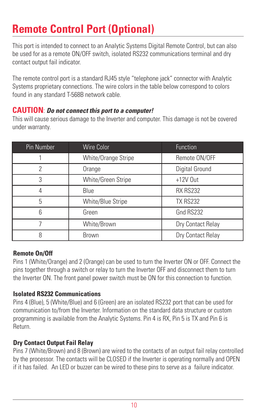### **Remote Control Port (Optional)**

This port is intended to connect to an Analytic Systems Digital Remote Control, but can also be used for as a remote ON/OFF switch, isolated RS232 communications terminal and dry contact output fail indicator.

The remote control port is a standard RJ45 style "telephone jack" connector with Analytic Systems proprietary connections. The wire colors in the table below correspond to colors found in any standard T-568B network cable.

#### **CAUTION**: *Do not connect this port to a computer!*

This will cause serious damage to the Inverter and computer. This damage is not be covered under warranty.

| Pin Number | Wire Color          | <b>Function</b>   |
|------------|---------------------|-------------------|
|            | White/Orange Stripe | Remote ON/OFF     |
| 2          | Orange              | Digital Ground    |
| 3          | White/Green Stripe  | $+12V$ Out        |
|            | Blue                | <b>RX RS232</b>   |
| 5          | White/Blue Stripe   | <b>TX RS232</b>   |
| 6          | Green               | Gnd RS232         |
|            | White/Brown         | Dry Contact Relay |
| 8          | <b>Brown</b>        | Dry Contact Relay |

#### **Remote On/Off**

Pins 1 (White/Orange) and 2 (Orange) can be used to turn the Inverter ON or OFF. Connect the pins together through a switch or relay to turn the Inverter OFF and disconnect them to turn the Inverter ON. The front panel power switch must be ON for this connection to function.

#### **Isolated RS232 Communications**

Pins 4 (Blue), 5 (White/Blue) and 6 (Green) are an isolated RS232 port that can be used for communication to/from the Inverter. Information on the standard data structure or custom programming is available from the Analytic Systems. Pin 4 is RX, Pin 5 is TX and Pin 6 is Return.

#### **Dry Contact Output Fail Relay**

Pins 7 (White/Brown) and 8 (Brown) are wired to the contacts of an output fail relay controlled by the processor. The contacts will be CLOSED if the Inverter is operating normally and OPEN if it has failed. An LED or buzzer can be wired to these pins to serve as a failure indicator.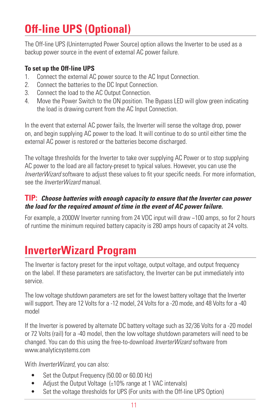# **Off-line UPS (Optional)**

The Off-line UPS (Uninterrupted Power Source) option allows the Inverter to be used as a backup power source in the event of external AC power failure.

#### **To set up the Off-line UPS**

- 1. Connect the external AC power source to the AC Input Connection.
- 2. Connect the batteries to the DC Input Connection.
- 3. Connect the load to the AC Output Connection.
- 4. Move the Power Switch to the ON position. The Bypass LED will glow green indicating the load is drawing current from the AC Input Connection.

In the event that external AC power fails, the Inverter will sense the voltage drop, power on, and begin supplying AC power to the load. It will continue to do so until either time the external AC power is restored or the batteries become discharged.

The voltage thresholds for the Inverter to take over supplying AC Power or to stop supplying AC power to the load are all factory-preset to typical values. However, you can use the *InverterWizard* software to adjust these values to fit your specific needs. For more information, see the *InverterWizard* manual.

#### **TIP:** *Choose batteries with enough capacity to ensure that the Inverter can power the load for the required amount of time in the event of AC power failure.*

For example, a 2000W Inverter running from 24 VDC input will draw ~100 amps, so for 2 hours of runtime the minimum required battery capacity is 280 amps hours of capacity at 24 volts.

### **InverterWizard Program**

The Inverter is factory preset for the input voltage, output voltage, and output frequency on the label. If these parameters are satisfactory, the Inverter can be put immediately into service.

The low voltage shutdown parameters are set for the lowest battery voltage that the Inverter will support. They are 12 Volts for a -12 model, 24 Volts for a -20 mode, and 48 Volts for a -40 model

If the Inverter is powered by alternate DC battery voltage such as 32/36 Volts for a -20 model or 72 Volts (rail) for a -40 model, then the low voltage shutdown parameters will need to be changed. You can do this using the free-to-download *InverterWizard* software from www.analyticsystems.com

With *InverterWizard*, you can also:

- Set the Output Frequency (50.00 or 60.00 Hz)
- Adjust the Output Voltage  $(\pm 10\%$  range at 1 VAC intervals)
- Set the voltage thresholds for UPS (For units with the Off-line UPS Option)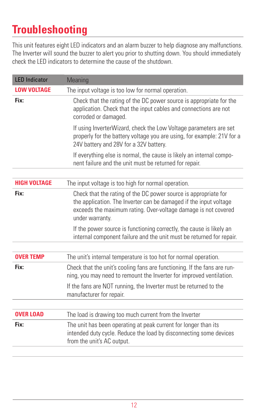### **Troubleshooting**

This unit features eight LED indicators and an alarm buzzer to help diagnose any malfunctions. The Inverter will sound the buzzer to alert you prior to shutting down. You should immediately check the LED indicators to determine the cause of the shutdown.

| <b>LED Indicator</b> | Meaning                                                                                                                                                                                                                   |
|----------------------|---------------------------------------------------------------------------------------------------------------------------------------------------------------------------------------------------------------------------|
| <b>LOW VOLTAGE</b>   | The input voltage is too low for normal operation.                                                                                                                                                                        |
| Fix:                 | Check that the rating of the DC power source is appropriate for the<br>application. Check that the input cables and connections are not<br>corroded or damaged.                                                           |
|                      | If using InverterWizard, check the Low Voltage parameters are set<br>properly for the battery voltage you are using, for example: 21V for a<br>24V battery and 28V for a 32V battery.                                     |
|                      | If everything else is normal, the cause is likely an internal compo-<br>nent failure and the unit must be returned for repair.                                                                                            |
|                      |                                                                                                                                                                                                                           |
| <b>HIGH VOLTAGE</b>  | The input voltage is too high for normal operation.                                                                                                                                                                       |
| Fix:                 | Check that the rating of the DC power source is appropriate for<br>the application. The Inverter can be damaged if the input voltage<br>exceeds the maximum rating. Over-voltage damage is not covered<br>under warranty. |
|                      | If the power source is functioning correctly, the cause is likely an<br>internal component failure and the unit must be returned for repair.                                                                              |
| <b>OVER TEMP</b>     | The unit's internal temperature is too hot for normal operation.                                                                                                                                                          |
| Fix:                 | Check that the unit's cooling fans are functioning. If the fans are run-<br>ning, you may need to remount the Inverter for improved ventilation.                                                                          |
|                      | If the fans are NOT running, the Inverter must be returned to the<br>manufacturer for repair.                                                                                                                             |
| <b>OVER LOAD</b>     | The load is drawing too much current from the Inverter                                                                                                                                                                    |
| Fix:                 | The unit has been operating at peak current for longer than its<br>intended duty cycle. Reduce the load by disconnecting some devices<br>from the unit's AC output.                                                       |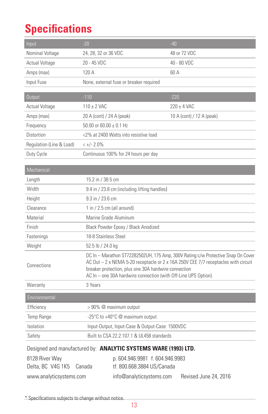### **Specifications**

| Input                    | $-20$                                                                                                                                                                                                                                                                                             |                                                                 | $-40$                 |  |  |
|--------------------------|---------------------------------------------------------------------------------------------------------------------------------------------------------------------------------------------------------------------------------------------------------------------------------------------------|-----------------------------------------------------------------|-----------------------|--|--|
| Nominal Voltage          | 24, 28, 32 or 36 VDC                                                                                                                                                                                                                                                                              |                                                                 | 48 or 72 VDC          |  |  |
| <b>Actual Voltage</b>    | 20 - 45 VDC                                                                                                                                                                                                                                                                                       | 40 - 80 VDC                                                     |                       |  |  |
| Amps (max)               | 120 A                                                                                                                                                                                                                                                                                             |                                                                 | 60 A                  |  |  |
| Input Fuse               |                                                                                                                                                                                                                                                                                                   | None, external fuse or breaker required                         |                       |  |  |
|                          |                                                                                                                                                                                                                                                                                                   |                                                                 |                       |  |  |
| <b>Output</b>            | $-110$                                                                                                                                                                                                                                                                                            |                                                                 | $-220$                |  |  |
| Actual Voltage           | $110 \pm 2$ VAC                                                                                                                                                                                                                                                                                   | $220 \pm 4$ VAC                                                 |                       |  |  |
| Amps (max)               |                                                                                                                                                                                                                                                                                                   | 20 A (cont) / 24 A (peak)<br>10 A (cont) / 12 A (peak)          |                       |  |  |
| Frequency                | 50.00 or 60.00 $\pm$ 0.1 Hz                                                                                                                                                                                                                                                                       |                                                                 |                       |  |  |
| Distortion               | <2% at 2400 Watts into resistive load                                                                                                                                                                                                                                                             |                                                                 |                       |  |  |
| Regulation (Line & Load) | $< +/- 2.0\%$                                                                                                                                                                                                                                                                                     |                                                                 |                       |  |  |
| Duty Cycle               | Continuous 100% for 24 hours per day                                                                                                                                                                                                                                                              |                                                                 |                       |  |  |
| Mechanical               |                                                                                                                                                                                                                                                                                                   |                                                                 |                       |  |  |
| Length                   | 15.2 in / 38.5 cm                                                                                                                                                                                                                                                                                 |                                                                 |                       |  |  |
| Width                    | 9.4 in / 23.8 cm (including lifting handles)                                                                                                                                                                                                                                                      |                                                                 |                       |  |  |
| Height                   | 9.3 in / 23.6 cm                                                                                                                                                                                                                                                                                  |                                                                 |                       |  |  |
| Clearance                | 1 in $/$ 2.5 cm (all around)                                                                                                                                                                                                                                                                      |                                                                 |                       |  |  |
| Material                 | Marine Grade Aluminum                                                                                                                                                                                                                                                                             |                                                                 |                       |  |  |
| Finish                   | Black Powder Epoxy / Black Anodized                                                                                                                                                                                                                                                               |                                                                 |                       |  |  |
| Fastenings               | 18-8 Stainless Steel                                                                                                                                                                                                                                                                              |                                                                 |                       |  |  |
| Weight                   | 52.5 lb / 24.0 kg                                                                                                                                                                                                                                                                                 |                                                                 |                       |  |  |
| Connections              | DC In - Marathon ST722B2502UH, 175 Amp, 300V Rating c/w Protective Snap On Cover<br>AC Out - 2 x NEMA 5-20 receptacle or 2 x 16A 250V CEE 7/7 receptacles with circuit<br>breaker protection, plus one 30A hardwire connection<br>AC In – one 30A hardwire connection (with Off-Line UPS Option). |                                                                 |                       |  |  |
| Warranty                 | 3 Years                                                                                                                                                                                                                                                                                           |                                                                 |                       |  |  |
| Environmental            |                                                                                                                                                                                                                                                                                                   |                                                                 |                       |  |  |
| Efficiency               | >90% @ maximum output                                                                                                                                                                                                                                                                             |                                                                 |                       |  |  |
| Temp Range               | -25°C to +40°C @ maximum output                                                                                                                                                                                                                                                                   |                                                                 |                       |  |  |
| Isolation                | Input-Output, Input-Case & Output-Case: 1500VDC                                                                                                                                                                                                                                                   |                                                                 |                       |  |  |
| Safety                   | Built to CSA 22.2.107.1 & UL458 standards                                                                                                                                                                                                                                                         |                                                                 |                       |  |  |
|                          |                                                                                                                                                                                                                                                                                                   | Designed and manufactured by: ANALYTIC SYSTEMS WARE (1993) LTD. |                       |  |  |
| 8128 River Way           |                                                                                                                                                                                                                                                                                                   | p. 604.946.9981 f. 604.946.9983                                 |                       |  |  |
| Delta, BC V4G 1K5        | Canada                                                                                                                                                                                                                                                                                            | tf. 800.668.3884 US/Canada                                      |                       |  |  |
| www.analyticsystems.com  |                                                                                                                                                                                                                                                                                                   | info@analyticsystems.com                                        | Revised June 24, 2016 |  |  |

\* Specifications subjects to change without notice.